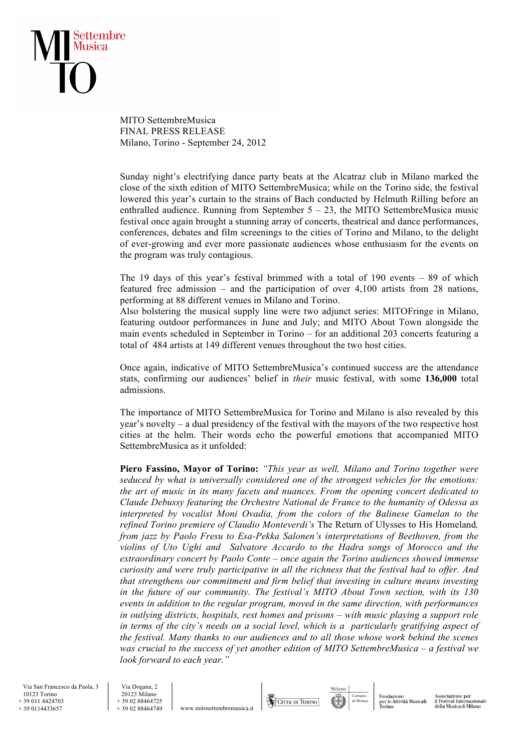

MITO SettembreMusica FINAL PRESS RELEASE Milano, Torino - September 24, 2012

Sunday night's electrifying dance party beats at the Alcatraz club in Milano marked the close of the sixth edition of MITO SettembreMusica; while on the Torino side, the festival lowered this year's curtain to the strains of Bach conducted by Helmuth Rilling before an enthralled audience. Running from September  $5 - 23$ , the MITO SettembreMusica music festival once again brought a stunning array of concerts, theatrical and dance performances, conferences, debates and film screenings to the cities of Torino and Milano, to the delight of ever-growing and ever more passionate audiences whose enthusiasm for the events on the program was truly contagious.

The 19 days of this year's festival brimmed with a total of 190 events – 89 of which featured free admission – and the participation of over 4,100 artists from 28 nations, performing at 88 different venues in Milano and Torino.

Also bolstering the musical supply line were two adjunct series: MITOFringe in Milano, featuring outdoor performances in June and July; and MITO About Town alongside the main events scheduled in September in Torino – for an additional 203 concerts featuring a total of 484 artists at 149 different venues throughout the two host cities.

Once again, indicative of MITO SettembreMusica's continued success are the attendance stats, confirming our audiences' belief in *their* music festival, with some **136,000** total admissions.

The importance of MITO SettembreMusica for Torino and Milano is also revealed by this year's novelty – a dual presidency of the festival with the mayors of the two respective host cities at the helm. Their words echo the powerful emotions that accompanied MITO SettembreMusica as it unfolded:

**Piero Fassino, Mayor of Torino:** *"This year as well, Milano and Torino together were seduced by what is universally considered one of the strongest vehicles for the emotions: the art of music in its many facets and nuances. From the opening concert dedicated to Claude Debussy featuring the Orchestre National de France to the humanity of Odessa as interpreted by vocalist Moni Ovadia, from the colors of the Balinese Gamelan to the refined Torino premiere of Claudio Monteverdi's* The Return of Ulysses to His Homeland*, from jazz by Paolo Fresu to Esa-Pekka Salonen's interpretations of Beethoven, from the violins of Uto Ughi and Salvatore Accardo to the Hadra songs of Morocco and the extraordinary concert by Paolo Conte – once again the Torino audiences showed immense curiosity and were truly participative in all the richness that the festival had to offer. And that strengthens our commitment and firm belief that investing in culture means investing in the future of our community. The festival's MITO About Town section, with its 130 events in addition to the regular program, moved in the same direction, with performances in outlying districts, hospitals, rest homes and prisons – with music playing a support role in terms of the city's needs on a social level, which is a particularly gratifying aspect of the festival. Many thanks to our audiences and to all those whose work behind the scenes was crucial to the success of yet another edition of MITO SettembreMusica – a festival we look forward to each year."* 

 Via San Francesco da Paola, 3 10123 Torino + 39 011 4424703 + 39 0114433657

 Via Dogana, 2 20123 Milano  $+ 390288464725$ <br> $+ 390288464749$ 

www.mitosettembremusica.it

CITTA DI TORINO



Fondazione per le Attività Musicali<br>Torino Associazione per<br>il Festival Internazionale<br>della Musica di Milano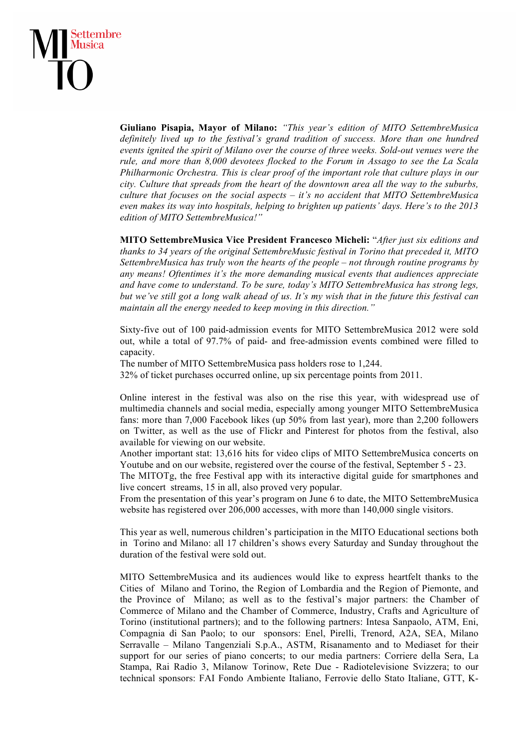## Settembre Musica

**Giuliano Pisapia, Mayor of Milano:** *"This year's edition of MITO SettembreMusica definitely lived up to the festival's grand tradition of success. More than one hundred events ignited the spirit of Milano over the course of three weeks. Sold-out venues were the rule, and more than 8,000 devotees flocked to the Forum in Assago to see the La Scala Philharmonic Orchestra. This is clear proof of the important role that culture plays in our city. Culture that spreads from the heart of the downtown area all the way to the suburbs, culture that focuses on the social aspects – it's no accident that MITO SettembreMusica even makes its way into hospitals, helping to brighten up patients' days. Here's to the 2013 edition of MITO SettembreMusica!"* 

**MITO SettembreMusica Vice President Francesco Micheli:** "*After just six editions and thanks to 34 years of the original SettembreMusic festival in Torino that preceded it, MITO SettembreMusica has truly won the hearts of the people – not through routine programs by any means! Oftentimes it's the more demanding musical events that audiences appreciate and have come to understand. To be sure, today's MITO SettembreMusica has strong legs, but we've still got a long walk ahead of us. It's my wish that in the future this festival can maintain all the energy needed to keep moving in this direction."* 

Sixty-five out of 100 paid-admission events for MITO SettembreMusica 2012 were sold out, while a total of 97.7% of paid- and free-admission events combined were filled to capacity.

The number of MITO SettembreMusica pass holders rose to 1,244.

32% of ticket purchases occurred online, up six percentage points from 2011.

Online interest in the festival was also on the rise this year, with widespread use of multimedia channels and social media, especially among younger MITO SettembreMusica fans: more than 7,000 Facebook likes (up 50% from last year), more than 2,200 followers on Twitter, as well as the use of Flickr and Pinterest for photos from the festival, also available for viewing on our website.

Another important stat: 13,616 hits for video clips of MITO SettembreMusica concerts on Youtube and on our website, registered over the course of the festival, September 5 - 23.

The MITOTg, the free Festival app with its interactive digital guide for smartphones and live concert streams, 15 in all, also proved very popular.

From the presentation of this year's program on June 6 to date, the MITO SettembreMusica website has registered over 206,000 accesses, with more than 140,000 single visitors.

This year as well, numerous children's participation in the MITO Educational sections both in Torino and Milano: all 17 children's shows every Saturday and Sunday throughout the duration of the festival were sold out.

MITO SettembreMusica and its audiences would like to express heartfelt thanks to the Cities of Milano and Torino, the Region of Lombardia and the Region of Piemonte, and the Province of Milano; as well as to the festival's major partners: the Chamber of Commerce of Milano and the Chamber of Commerce, Industry, Crafts and Agriculture of Torino (institutional partners); and to the following partners: Intesa Sanpaolo, ATM, Eni, Compagnia di San Paolo; to our sponsors: Enel, Pirelli, Trenord, A2A, SEA, Milano Serravalle – Milano Tangenziali S.p.A., ASTM, Risanamento and to Mediaset for their support for our series of piano concerts; to our media partners: Corriere della Sera, La Stampa, Rai Radio 3, Milanow Torinow, Rete Due - Radiotelevisione Svizzera; to our technical sponsors: FAI Fondo Ambiente Italiano, Ferrovie dello Stato Italiane, GTT, K-